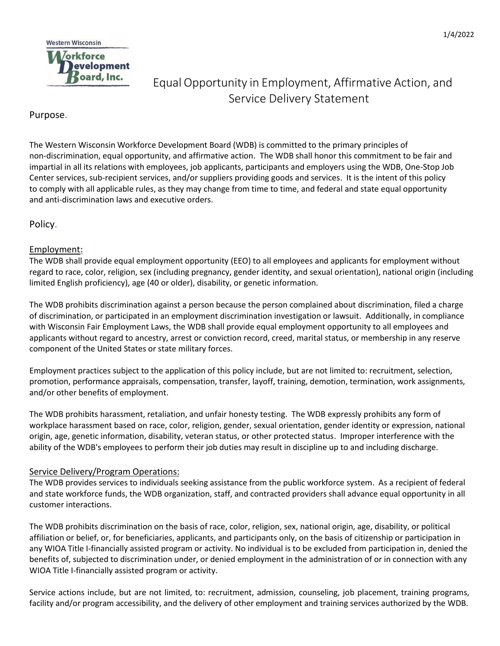

# Equal Opportunity in Employment, Affirmative Action, and Service Delivery Statement

## Purpose.

The Western Wisconsin Workforce Development Board (WDB) is committed to the primary principles of non-discrimination, equal opportunity, and affirmative action. The WDB shall honor this commitment to be fair and impartial in all its relations with employees, job applicants, participants and employers using the WDB, One-Stop Job Center services, sub-recipient services, and/or suppliers providing goods and services. It is the intent of this policy to comply with all applicable rules, as they may change from time to time, and federal and state equal opportunity and anti-discrimination laws and executive orders.

Policy.

### Employment**:**

The WDB shall provide equal employment opportunity (EEO) to all employees and applicants for employment without regard to race, color, religion, sex (including pregnancy, gender identity, and sexual orientation), national origin (including limited English proficiency), age (40 or older), disability, or genetic information.

The WDB prohibits discrimination against a person because the person complained about discrimination, filed a charge of discrimination, or participated in an employment discrimination investigation or lawsuit. Additionally, in compliance with Wisconsin Fair Employment Laws, the WDB shall provide equal employment opportunity to all employees and applicants without regard to ancestry, arrest or conviction record, creed, marital status, or membership in any reserve component of the United States or state military forces.

Employment practices subject to the application of this policy include, but are not limited to: recruitment, selection, promotion, performance appraisals, compensation, transfer, layoff, training, demotion, termination, work assignments, and/or other benefits of employment.

The WDB prohibits harassment, retaliation, and unfair honesty testing. The WDB expressly prohibits any form of workplace harassment based on race, color, religion, gender, sexual orientation, gender identity or expression, national origin, age, genetic information, disability, veteran status, or other protected status. Improper interference with the ability of the WDB's employees to perform their job duties may result in discipline up to and including discharge.

#### Service Delivery/Program Operations:

The WDB provides services to individuals seeking assistance from the public workforce system. As a recipient of federal and state workforce funds, the WDB organization, staff, and contracted providers shall advance equal opportunity in all customer interactions.

The WDB prohibits discrimination on the basis of race, color, religion, sex, national origin, age, disability, or political affiliation or belief, or, for beneficiaries, applicants, and participants only, on the basis of citizenship or participation in any WIOA Title I-financially assisted program or activity. No individual is to be excluded from participation in, denied the benefits of, subjected to discrimination under, or denied employment in the administration of or in connection with any WIOA Title I-financially assisted program or activity.

Service actions include, but are not limited, to: recruitment, admission, counseling, job placement, training programs, facility and/or program accessibility, and the delivery of other employment and training services authorized by the WDB.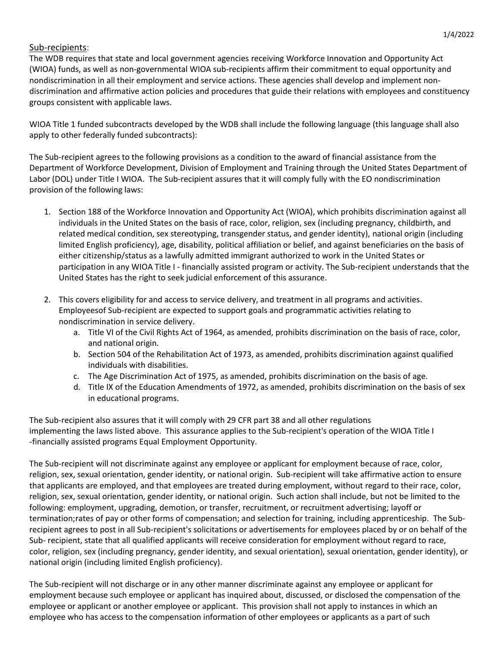#### Sub-recipients:

The WDB requires that state and local government agencies receiving Workforce Innovation and Opportunity Act (WIOA) funds, as well as non-governmental WIOA sub-recipients affirm their commitment to equal opportunity and nondiscrimination in all their employment and service actions. These agencies shall develop and implement nondiscrimination and affirmative action policies and procedures that guide their relations with employees and constituency groups consistent with applicable laws.

WIOA Title 1 funded subcontracts developed by the WDB shall include the following language (this language shall also apply to other federally funded subcontracts):

The Sub-recipient agrees to the following provisions as a condition to the award of financial assistance from the Department of Workforce Development, Division of Employment and Training through the United States Department of Labor (DOL) under Title I WIOA. The Sub-recipient assures that it will comply fully with the EO nondiscrimination provision of the following laws:

- 1. Section 188 of the Workforce Innovation and Opportunity Act (WIOA), which prohibits discrimination against all individuals in the United States on the basis of race, color, religion, sex (including pregnancy, childbirth, and related medical condition, sex stereotyping, transgender status, and gender identity), national origin (including limited English proficiency), age, disability, political affiliation or belief, and against beneficiaries on the basis of either citizenship/status as a lawfully admitted immigrant authorized to work in the United States or participation in any WIOA Title I - financially assisted program or activity. The Sub-recipient understands that the United States has the right to seek judicial enforcement of this assurance.
- 2. This covers eligibility for and access to service delivery, and treatment in all programs and activities. Employeesof Sub-recipient are expected to support goals and programmatic activities relating to nondiscrimination in service delivery.
	- a. Title VI of the Civil Rights Act of 1964, as amended, prohibits discrimination on the basis of race, color, and national origin.
	- b. Section 504 of the Rehabilitation Act of 1973, as amended, prohibits discrimination against qualified individuals with disabilities.
	- c. The Age Discrimination Act of 1975, as amended, prohibits discrimination on the basis of age.
	- d. Title IX of the Education Amendments of 1972, as amended, prohibits discrimination on the basis of sex in educational programs.

The Sub-recipient also assures that it will comply with 29 CFR part 38 and all other regulations implementing the laws listed above. This assurance applies to the Sub-recipient's operation of the WIOA Title I -financially assisted programs Equal Employment Opportunity.

The Sub-recipient will not discriminate against any employee or applicant for employment because of race, color, religion, sex, sexual orientation, gender identity, or national origin. Sub-recipient will take affirmative action to ensure that applicants are employed, and that employees are treated during employment, without regard to their race, color, religion, sex, sexual orientation, gender identity, or national origin. Such action shall include, but not be limited to the following: employment, upgrading, demotion, or transfer, recruitment, or recruitment advertising; layoff or termination;rates of pay or other forms of compensation; and selection for training, including apprenticeship. The Subrecipient agrees to post in all Sub-recipient's solicitations or advertisements for employees placed by or on behalf of the Sub- recipient, state that all qualified applicants will receive consideration for employment without regard to race, color, religion, sex (including pregnancy, gender identity, and sexual orientation), sexual orientation, gender identity), or national origin (including limited English proficiency).

The Sub-recipient will not discharge or in any other manner discriminate against any employee or applicant for employment because such employee or applicant has inquired about, discussed, or disclosed the compensation of the employee or applicant or another employee or applicant. This provision shall not apply to instances in which an employee who has access to the compensation information of other employees or applicants as a part of such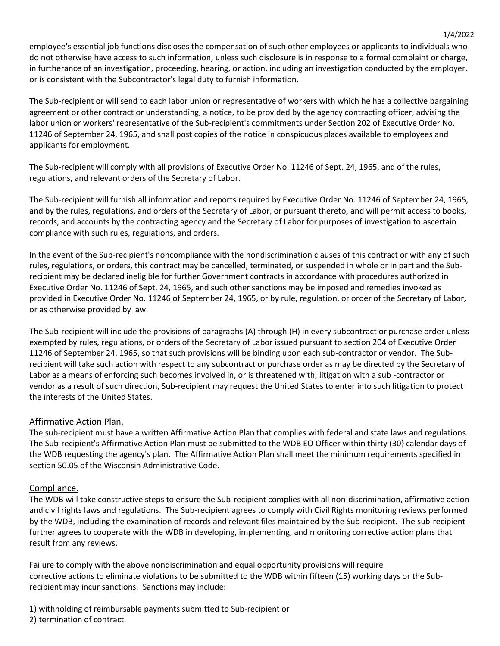employee's essential job functions discloses the compensation of such other employees or applicants to individuals who do not otherwise have access to such information, unless such disclosure is in response to a formal complaint or charge, in furtherance of an investigation, proceeding, hearing, or action, including an investigation conducted by the employer, or is consistent with the Subcontractor's legal duty to furnish information.

The Sub-recipient or will send to each labor union or representative of workers with which he has a collective bargaining agreement or other contract or understanding, a notice, to be provided by the agency contracting officer, advising the labor union or workers' representative of the Sub-recipient's commitments under Section 202 of Executive Order No. 11246 of September 24, 1965, and shall post copies of the notice in conspicuous places available to employees and applicants for employment.

The Sub-recipient will comply with all provisions of Executive Order No. 11246 of Sept. 24, 1965, and of the rules, regulations, and relevant orders of the Secretary of Labor.

The Sub-recipient will furnish all information and reports required by Executive Order No. 11246 of September 24, 1965, and by the rules, regulations, and orders of the Secretary of Labor, or pursuant thereto, and will permit access to books, records, and accounts by the contracting agency and the Secretary of Labor for purposes of investigation to ascertain compliance with such rules, regulations, and orders.

In the event of the Sub-recipient's noncompliance with the nondiscrimination clauses of this contract or with any of such rules, regulations, or orders, this contract may be cancelled, terminated, or suspended in whole or in part and the Subrecipient may be declared ineligible for further Government contracts in accordance with procedures authorized in Executive Order No. 11246 of Sept. 24, 1965, and such other sanctions may be imposed and remedies invoked as provided in Executive Order No. 11246 of September 24, 1965, or by rule, regulation, or order of the Secretary of Labor, or as otherwise provided by law.

The Sub-recipient will include the provisions of paragraphs (A) through (H) in every subcontract or purchase order unless exempted by rules, regulations, or orders of the Secretary of Labor issued pursuant to section 204 of Executive Order 11246 of September 24, 1965, so that such provisions will be binding upon each sub-contractor or vendor. The Subrecipient will take such action with respect to any subcontract or purchase order as may be directed by the Secretary of Labor as a means of enforcing such becomes involved in, or is threatened with, litigation with a sub -contractor or vendor as a result of such direction, Sub-recipient may request the United States to enter into such litigation to protect the interests of the United States.

#### Affirmative Action Plan.

The sub-recipient must have a written Affirmative Action Plan that complies with federal and state laws and regulations. The Sub-recipient's Affirmative Action Plan must be submitted to the WDB EO Officer within thirty (30} calendar days of the WDB requesting the agency's plan. The Affirmative Action Plan shall meet the minimum requirements specified in section 50.05 of the Wisconsin Administrative Code.

#### Compliance.

The WDB will take constructive steps to ensure the Sub-recipient complies with all non-discrimination, affirmative action and civil rights laws and regulations. The Sub-recipient agrees to comply with Civil Rights monitoring reviews performed by the WDB, including the examination of records and relevant files maintained by the Sub-recipient. The sub-recipient further agrees to cooperate with the WDB in developing, implementing, and monitoring corrective action plans that result from any reviews.

Failure to comply with the above nondiscrimination and equal opportunity provisions will require corrective actions to eliminate violations to be submitted to the WDB within fifteen (15) working days or the Subrecipient may incur sanctions. Sanctions may include:

1) withholding of reimbursable payments submitted to Sub-recipient or 2) termination of contract.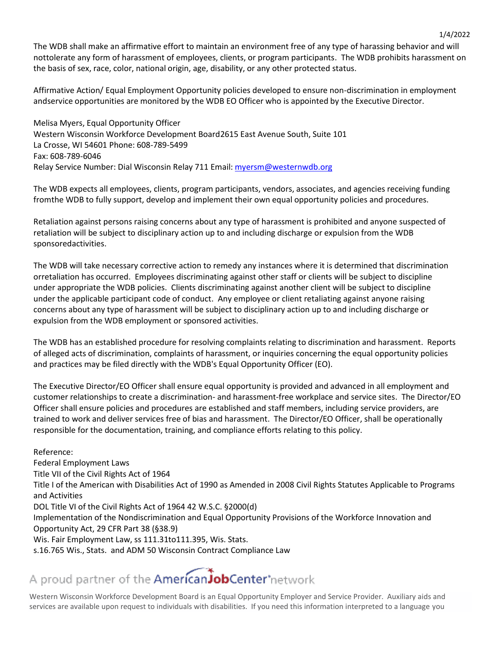The WDB shall make an affirmative effort to maintain an environment free of any type of harassing behavior and will nottolerate any form of harassment of employees, clients, or program participants. The WDB prohibits harassment on the basis of sex, race, color, national origin, age, disability, or any other protected status.

1/4/2022

Affirmative Action/ Equal Employment Opportunity policies developed to ensure non-discrimination in employment andservice opportunities are monitored by the WDB EO Officer who is appointed by the Executive Director.

Melisa Myers, Equal Opportunity Officer Western Wisconsin Workforce Development Board2615 East Avenue South, Suite 101 La Crosse, WI 54601 Phone: 608-789-5499 Fax: 608-789-6046 Relay Service Number: Dial Wisconsin Relay 711 Email: [myersm@westernwdb.org](mailto:myersm@westernwdb.org)

The WDB expects all employees, clients, program participants, vendors, associates, and agencies receiving funding fromthe WDB to fully support, develop and implement their own equal opportunity policies and procedures.

Retaliation against persons raising concerns about any type of harassment is prohibited and anyone suspected of retaliation will be subject to disciplinary action up to and including discharge or expulsion from the WDB sponsoredactivities.

The WDB will take necessary corrective action to remedy any instances where it is determined that discrimination orretaliation has occurred. Employees discriminating against other staff or clients will be subject to discipline under appropriate the WDB policies. Clients discriminating against another client will be subject to discipline under the applicable participant code of conduct. Any employee or client retaliating against anyone raising concerns about any type of harassment will be subject to disciplinary action up to and including discharge or expulsion from the WDB employment or sponsored activities.

The WDB has an established procedure for resolving complaints relating to discrimination and harassment. Reports of alleged acts of discrimination, complaints of harassment, or inquiries concerning the equal opportunity policies and practices may be filed directly with the WDB's Equal Opportunity Officer (EO).

The Executive Director/EO Officer shall ensure equal opportunity is provided and advanced in all employment and customer relationships to create a discrimination- and harassment-free workplace and service sites. The Director/EO Officer shall ensure policies and procedures are established and staff members, including service providers, are trained to work and deliver services free of bias and harassment. The Director/EO Officer, shall be operationally responsible for the documentation, training, and compliance efforts relating to this policy.

Reference: Federal Employment Laws Title VII of the Civil Rights Act of 1964 Title I of the American with Disabilities Act of 1990 as Amended in 2008 Civil Rights Statutes Applicable to Programs and Activities DOL Title VI of the Civil Rights Act of 1964 42 W.S.C. §2000(d) Implementation of the Nondiscrimination and Equal Opportunity Provisions of the Workforce Innovation and Opportunity Act, 29 CFR Part 38 (§38.9) Wis. Fair Employment Law, ss 111.31to111.395, Wis. Stats. s.16.765 Wis., Stats. and ADM 50 Wisconsin Contract Compliance Law

# A proud partner of the **American JobCenter** network

Western Wisconsin Workforce Development Board is an Equal Opportunity Employer and Service Provider. Auxiliary aids and services are available upon request to individuals with disabilities. If you need this information interpreted to a language you